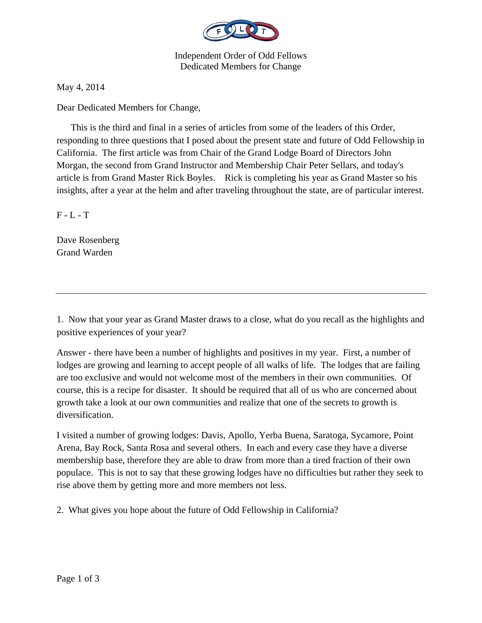

Independent Order of Odd Fellows Dedicated Members for Change

May 4, 2014

Dear Dedicated Members for Change,

 This is the third and final in a series of articles from some of the leaders of this Order, responding to three questions that I posed about the present state and future of Odd Fellowship in California. The first article was from Chair of the Grand Lodge Board of Directors John Morgan, the second from Grand Instructor and Membership Chair Peter Sellars, and today's article is from Grand Master Rick Boyles. Rick is completing his year as Grand Master so his insights, after a year at the helm and after traveling throughout the state, are of particular interest.

 $F - L - T$ 

Dave Rosenberg Grand Warden

1. Now that your year as Grand Master draws to a close, what do you recall as the highlights and positive experiences of your year?

Answer - there have been a number of highlights and positives in my year. First, a number of lodges are growing and learning to accept people of all walks of life. The lodges that are failing are too exclusive and would not welcome most of the members in their own communities. Of course, this is a recipe for disaster. It should be required that all of us who are concerned about growth take a look at our own communities and realize that one of the secrets to growth is diversification.

I visited a number of growing lodges: Davis, Apollo, Yerba Buena, Saratoga, Sycamore, Point Arena, Bay Rock, Santa Rosa and several others. In each and every case they have a diverse membership base, therefore they are able to draw from more than a tired fraction of their own populace. This is not to say that these growing lodges have no difficulties but rather they seek to rise above them by getting more and more members not less.

2. What gives you hope about the future of Odd Fellowship in California?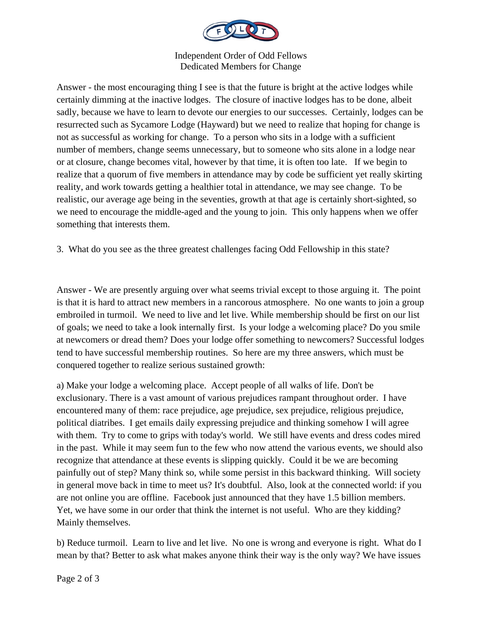

Independent Order of Odd Fellows Dedicated Members for Change

Answer - the most encouraging thing I see is that the future is bright at the active lodges while certainly dimming at the inactive lodges. The closure of inactive lodges has to be done, albeit sadly, because we have to learn to devote our energies to our successes. Certainly, lodges can be resurrected such as Sycamore Lodge (Hayward) but we need to realize that hoping for change is not as successful as working for change. To a person who sits in a lodge with a sufficient number of members, change seems unnecessary, but to someone who sits alone in a lodge near or at closure, change becomes vital, however by that time, it is often too late. If we begin to realize that a quorum of five members in attendance may by code be sufficient yet really skirting reality, and work towards getting a healthier total in attendance, we may see change. To be realistic, our average age being in the seventies, growth at that age is certainly short-sighted, so we need to encourage the middle-aged and the young to join. This only happens when we offer something that interests them.

3. What do you see as the three greatest challenges facing Odd Fellowship in this state?

Answer - We are presently arguing over what seems trivial except to those arguing it. The point is that it is hard to attract new members in a rancorous atmosphere. No one wants to join a group embroiled in turmoil. We need to live and let live. While membership should be first on our list of goals; we need to take a look internally first. Is your lodge a welcoming place? Do you smile at newcomers or dread them? Does your lodge offer something to newcomers? Successful lodges tend to have successful membership routines. So here are my three answers, which must be conquered together to realize serious sustained growth:

a) Make your lodge a welcoming place. Accept people of all walks of life. Don't be exclusionary. There is a vast amount of various prejudices rampant throughout order. I have encountered many of them: race prejudice, age prejudice, sex prejudice, religious prejudice, political diatribes. I get emails daily expressing prejudice and thinking somehow I will agree with them. Try to come to grips with today's world. We still have events and dress codes mired in the past. While it may seem fun to the few who now attend the various events, we should also recognize that attendance at these events is slipping quickly. Could it be we are becoming painfully out of step? Many think so, while some persist in this backward thinking. Will society in general move back in time to meet us? It's doubtful. Also, look at the connected world: if you are not online you are offline. Facebook just announced that they have 1.5 billion members. Yet, we have some in our order that think the internet is not useful. Who are they kidding? Mainly themselves.

b) Reduce turmoil. Learn to live and let live. No one is wrong and everyone is right. What do I mean by that? Better to ask what makes anyone think their way is the only way? We have issues